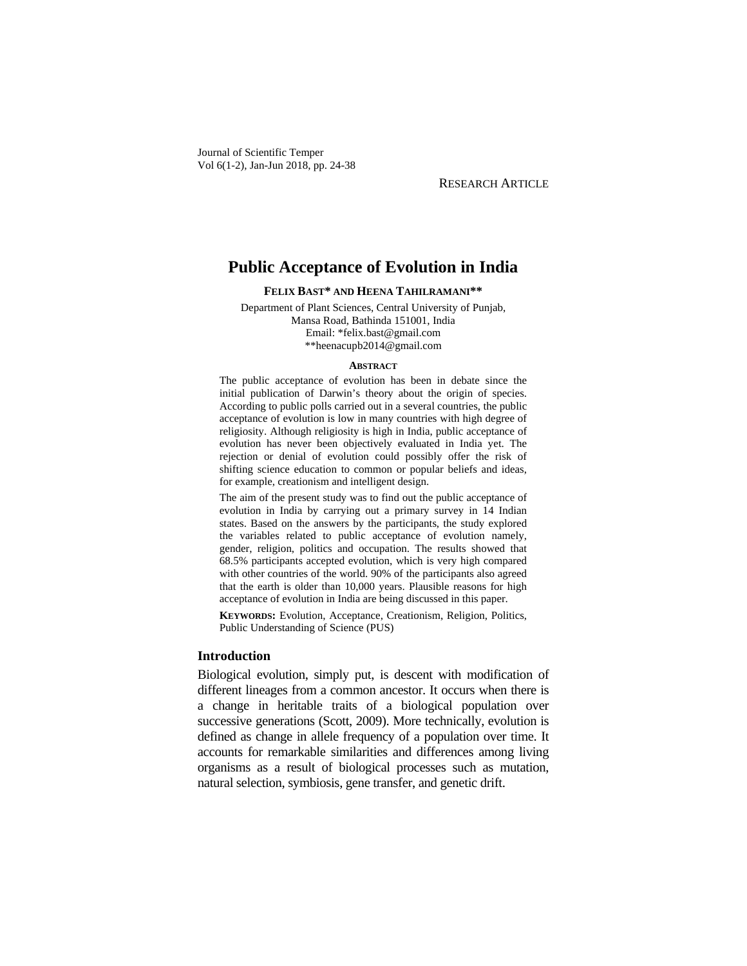Journal of Scientific Temper Vol 6(1-2), Jan-Jun 2018, pp. 24-38

RESEARCH ARTICLE

# **Public Acceptance of Evolution in India**

**FELIX BAST\* AND HEENA TAHILRAMANI\*\*** 

Department of Plant Sciences, Central University of Punjab, Mansa Road, Bathinda 151001, India Email: \*felix.bast@gmail.com \*\*heenacupb2014@gmail.com

#### **ABSTRACT**

The public acceptance of evolution has been in debate since the initial publication of Darwin's theory about the origin of species. According to public polls carried out in a several countries, the public acceptance of evolution is low in many countries with high degree of religiosity. Although religiosity is high in India, public acceptance of evolution has never been objectively evaluated in India yet. The rejection or denial of evolution could possibly offer the risk of shifting science education to common or popular beliefs and ideas, for example, creationism and intelligent design.

The aim of the present study was to find out the public acceptance of evolution in India by carrying out a primary survey in 14 Indian states. Based on the answers by the participants, the study explored the variables related to public acceptance of evolution namely, gender, religion, politics and occupation. The results showed that 68.5% participants accepted evolution, which is very high compared with other countries of the world. 90% of the participants also agreed that the earth is older than 10,000 years. Plausible reasons for high acceptance of evolution in India are being discussed in this paper.

**KEYWORDS:** Evolution, Acceptance, Creationism, Religion, Politics, Public Understanding of Science (PUS)

# **Introduction**

Biological evolution, simply put, is descent with modification of different lineages from a common ancestor. It occurs when there is a change in heritable traits of a biological population over successive generations (Scott, 2009). More technically, evolution is defined as change in allele frequency of a population over time. It accounts for remarkable similarities and differences among living organisms as a result of biological processes such as mutation, natural selection, symbiosis, gene transfer, and genetic drift.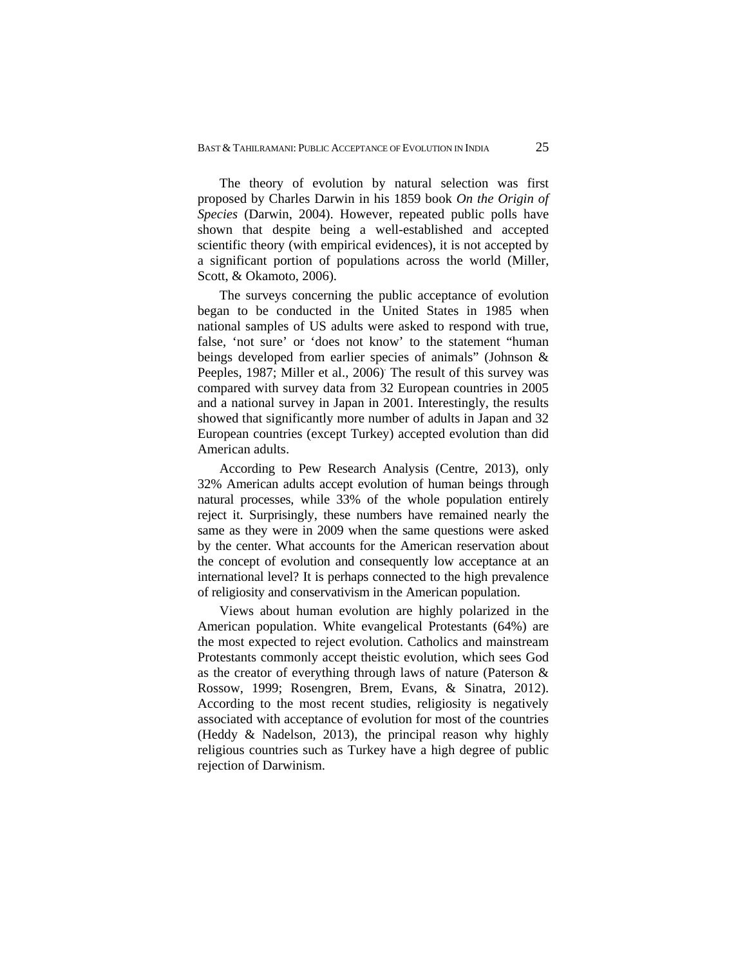The theory of evolution by natural selection was first proposed by Charles Darwin in his 1859 book *On the Origin of Species* (Darwin, 2004). However, repeated public polls have shown that despite being a well-established and accepted scientific theory (with empirical evidences), it is not accepted by a significant portion of populations across the world (Miller, Scott, & Okamoto, 2006).

The surveys concerning the public acceptance of evolution began to be conducted in the United States in 1985 when national samples of US adults were asked to respond with true, false, 'not sure' or 'does not know' to the statement "human beings developed from earlier species of animals" (Johnson & Peeples, 1987; Miller et al., 2006) The result of this survey was compared with survey data from 32 European countries in 2005 and a national survey in Japan in 2001. Interestingly, the results showed that significantly more number of adults in Japan and 32 European countries (except Turkey) accepted evolution than did American adults.

According to Pew Research Analysis (Centre, 2013), only 32% American adults accept evolution of human beings through natural processes, while 33% of the whole population entirely reject it. Surprisingly, these numbers have remained nearly the same as they were in 2009 when the same questions were asked by the center. What accounts for the American reservation about the concept of evolution and consequently low acceptance at an international level? It is perhaps connected to the high prevalence of religiosity and conservativism in the American population.

Views about human evolution are highly polarized in the American population. White evangelical Protestants (64%) are the most expected to reject evolution. Catholics and mainstream Protestants commonly accept theistic evolution, which sees God as the creator of everything through laws of nature (Paterson & Rossow, 1999; Rosengren, Brem, Evans, & Sinatra, 2012). According to the most recent studies, religiosity is negatively associated with acceptance of evolution for most of the countries (Heddy & Nadelson, 2013), the principal reason why highly religious countries such as Turkey have a high degree of public rejection of Darwinism.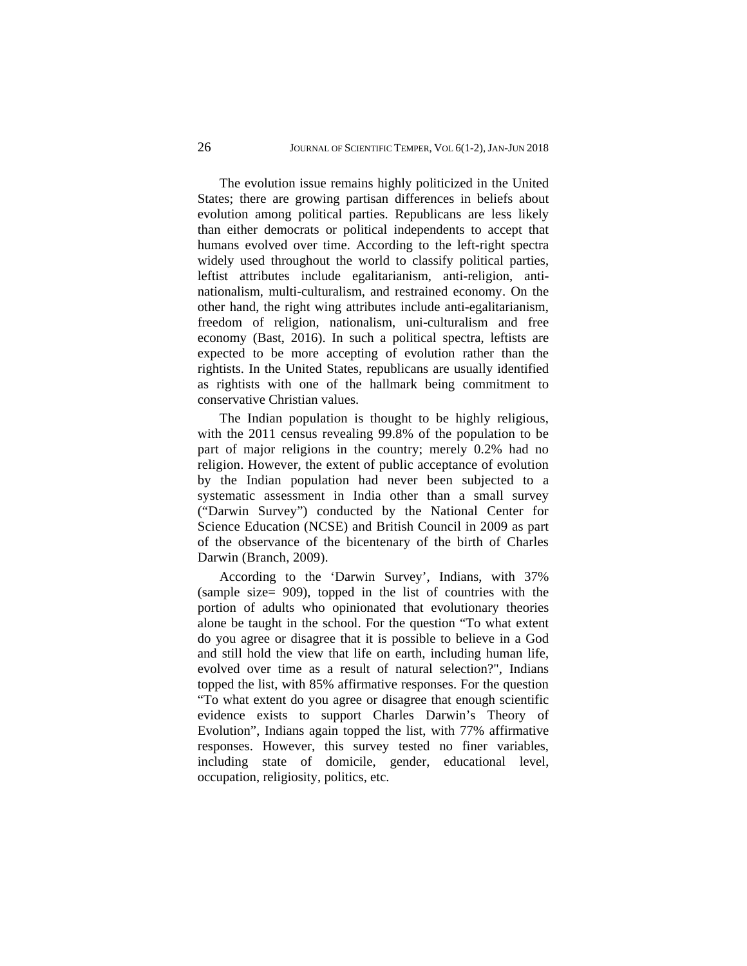The evolution issue remains highly politicized in the United States; there are growing partisan differences in beliefs about evolution among political parties. Republicans are less likely than either democrats or political independents to accept that humans evolved over time. According to the left-right spectra widely used throughout the world to classify political parties, leftist attributes include egalitarianism, anti-religion, antinationalism, multi-culturalism, and restrained economy. On the other hand, the right wing attributes include anti-egalitarianism, freedom of religion, nationalism, uni-culturalism and free economy (Bast, 2016). In such a political spectra, leftists are expected to be more accepting of evolution rather than the rightists. In the United States, republicans are usually identified as rightists with one of the hallmark being commitment to conservative Christian values.

The Indian population is thought to be highly religious, with the 2011 census revealing 99.8% of the population to be part of major religions in the country; merely 0.2% had no religion. However, the extent of public acceptance of evolution by the Indian population had never been subjected to a systematic assessment in India other than a small survey ("Darwin Survey") conducted by the National Center for Science Education (NCSE) and British Council in 2009 as part of the observance of the bicentenary of the birth of Charles Darwin (Branch, 2009).

According to the 'Darwin Survey', Indians, with 37% (sample size= 909), topped in the list of countries with the portion of adults who opinionated that evolutionary theories alone be taught in the school. For the question "To what extent do you agree or disagree that it is possible to believe in a God and still hold the view that life on earth, including human life, evolved over time as a result of natural selection?", Indians topped the list, with 85% affirmative responses. For the question "To what extent do you agree or disagree that enough scientific evidence exists to support Charles Darwin's Theory of Evolution", Indians again topped the list, with 77% affirmative responses. However, this survey tested no finer variables, including state of domicile, gender, educational level, occupation, religiosity, politics, etc.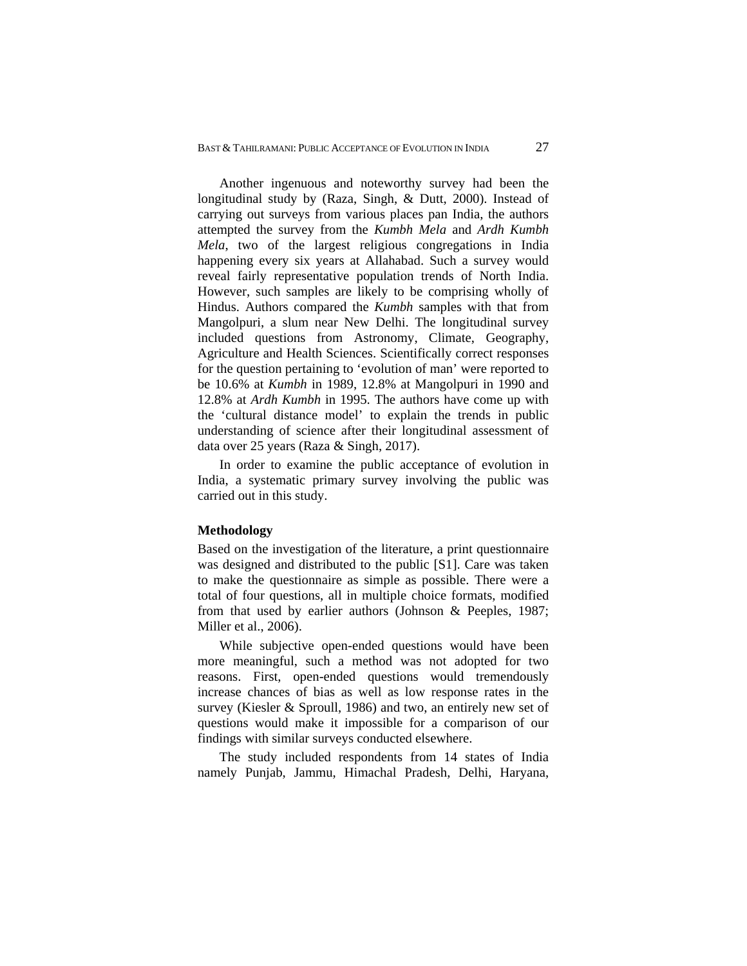Another ingenuous and noteworthy survey had been the longitudinal study by (Raza, Singh, & Dutt, 2000). Instead of carrying out surveys from various places pan India, the authors attempted the survey from the *Kumbh Mela* and *Ardh Kumbh Mela*, two of the largest religious congregations in India happening every six years at Allahabad. Such a survey would reveal fairly representative population trends of North India. However, such samples are likely to be comprising wholly of Hindus. Authors compared the *Kumbh* samples with that from Mangolpuri, a slum near New Delhi. The longitudinal survey included questions from Astronomy, Climate, Geography, Agriculture and Health Sciences. Scientifically correct responses for the question pertaining to 'evolution of man' were reported to be 10.6% at *Kumbh* in 1989, 12.8% at Mangolpuri in 1990 and 12.8% at *Ardh Kumbh* in 1995. The authors have come up with the 'cultural distance model' to explain the trends in public understanding of science after their longitudinal assessment of data over 25 years (Raza & Singh, 2017).

In order to examine the public acceptance of evolution in India, a systematic primary survey involving the public was carried out in this study.

## **Methodology**

Based on the investigation of the literature, a print questionnaire was designed and distributed to the public [S1]. Care was taken to make the questionnaire as simple as possible. There were a total of four questions, all in multiple choice formats, modified from that used by earlier authors (Johnson & Peeples, 1987; Miller et al., 2006).

While subjective open-ended questions would have been more meaningful, such a method was not adopted for two reasons. First, open-ended questions would tremendously increase chances of bias as well as low response rates in the survey (Kiesler & Sproull, 1986) and two, an entirely new set of questions would make it impossible for a comparison of our findings with similar surveys conducted elsewhere.

The study included respondents from 14 states of India namely Punjab, Jammu, Himachal Pradesh, Delhi, Haryana,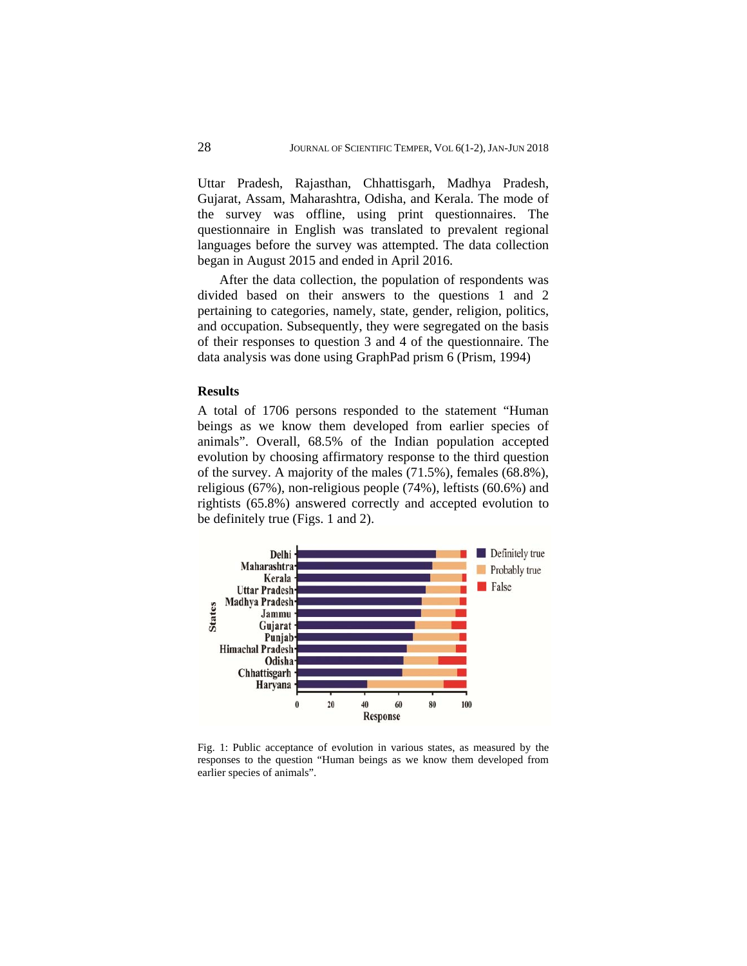Uttar Pradesh, Rajasthan, Chhattisgarh, Madhya Pradesh, Gujarat, Assam, Maharashtra, Odisha, and Kerala. The mode of the survey was offline, using print questionnaires. The questionnaire in English was translated to prevalent regional languages before the survey was attempted. The data collection began in August 2015 and ended in April 2016.

After the data collection, the population of respondents was divided based on their answers to the questions 1 and 2 pertaining to categories, namely, state, gender, religion, politics, and occupation. Subsequently, they were segregated on the basis of their responses to question 3 and 4 of the questionnaire. The data analysis was done using GraphPad prism 6 (Prism, 1994)

# **Results**

A total of 1706 persons responded to the statement "Human beings as we know them developed from earlier species of animals". Overall, 68.5% of the Indian population accepted evolution by choosing affirmatory response to the third question of the survey. A majority of the males (71.5%), females (68.8%), religious (67%), non-religious people (74%), leftists (60.6%) and rightists (65.8%) answered correctly and accepted evolution to be definitely true (Figs. 1 and 2).



Fig. 1: Public acceptance of evolution in various states, as measured by the responses to the question "Human beings as we know them developed from earlier species of animals".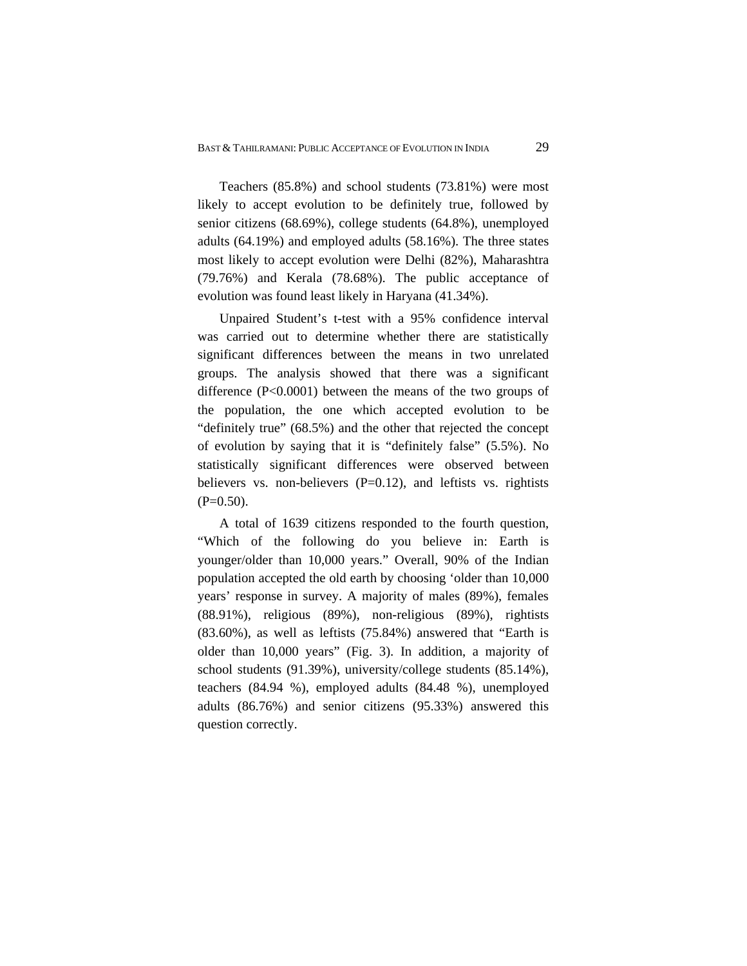Teachers (85.8%) and school students (73.81%) were most likely to accept evolution to be definitely true, followed by senior citizens (68.69%), college students (64.8%), unemployed adults (64.19%) and employed adults (58.16%). The three states most likely to accept evolution were Delhi (82%), Maharashtra (79.76%) and Kerala (78.68%). The public acceptance of evolution was found least likely in Haryana (41.34%).

Unpaired Student's t-test with a 95% confidence interval was carried out to determine whether there are statistically significant differences between the means in two unrelated groups. The analysis showed that there was a significant difference (P<0.0001) between the means of the two groups of the population, the one which accepted evolution to be "definitely true" (68.5%) and the other that rejected the concept of evolution by saying that it is "definitely false" (5.5%). No statistically significant differences were observed between believers vs. non-believers  $(P=0.12)$ , and leftists vs. rightists  $(P=0.50)$ .

A total of 1639 citizens responded to the fourth question, "Which of the following do you believe in: Earth is younger/older than 10,000 years." Overall, 90% of the Indian population accepted the old earth by choosing 'older than 10,000 years' response in survey. A majority of males (89%), females (88.91%), religious (89%), non-religious (89%), rightists (83.60%), as well as leftists (75.84%) answered that "Earth is older than 10,000 years" (Fig. 3). In addition, a majority of school students (91.39%), university/college students (85.14%), teachers (84.94 %), employed adults (84.48 %), unemployed adults (86.76%) and senior citizens (95.33%) answered this question correctly.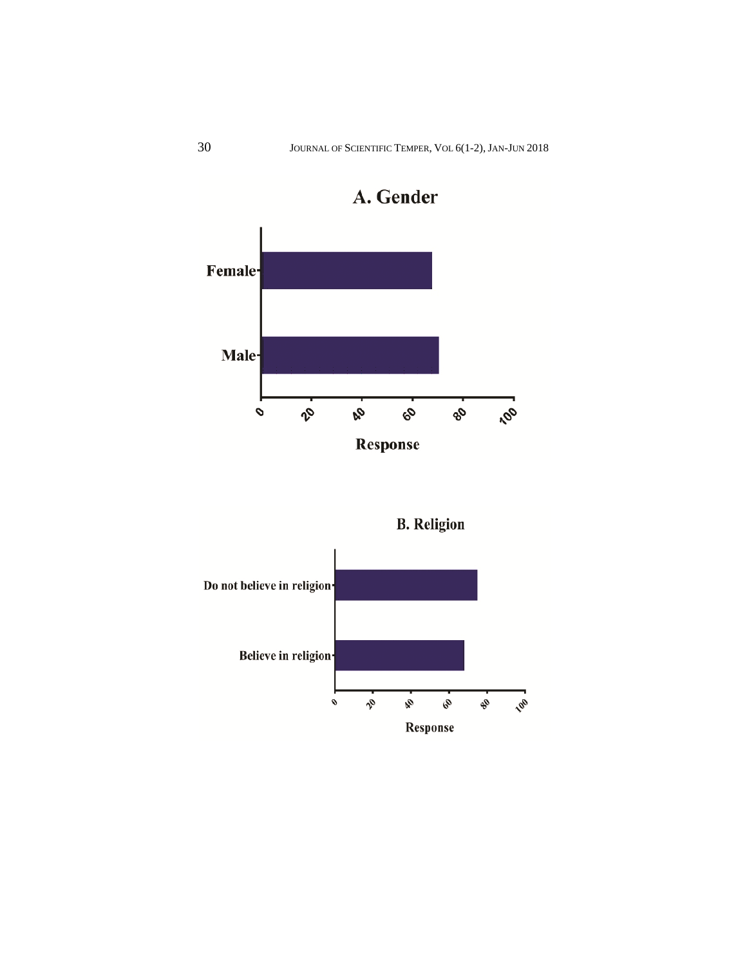

A. Gender

**B.** Religion

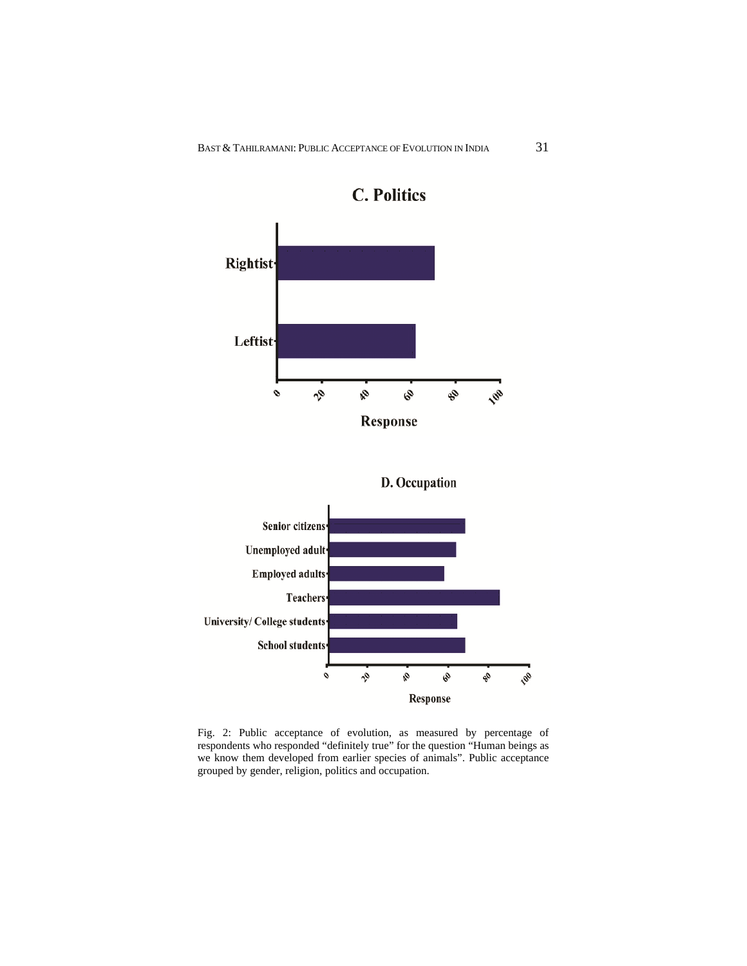







Fig. 2: Public acceptance of evolution, as measured by percentage of respondents who responded "definitely true" for the question "Human beings as we know them developed from earlier species of animals". Public acceptance grouped by gender, religion, politics and occupation.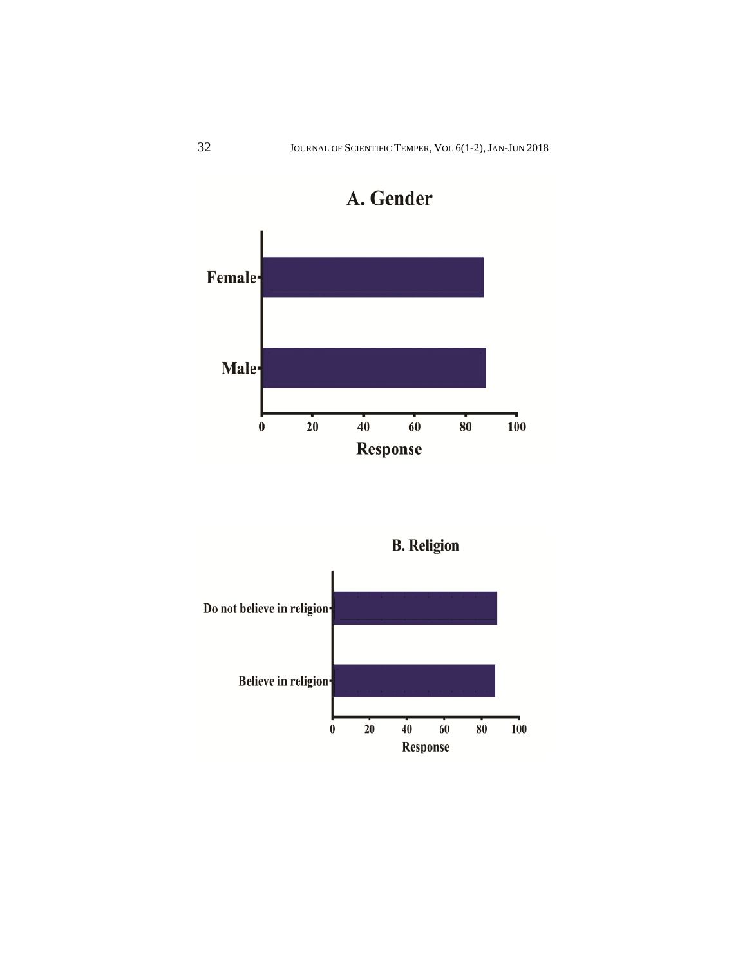

A. Gender

**B.** Religion

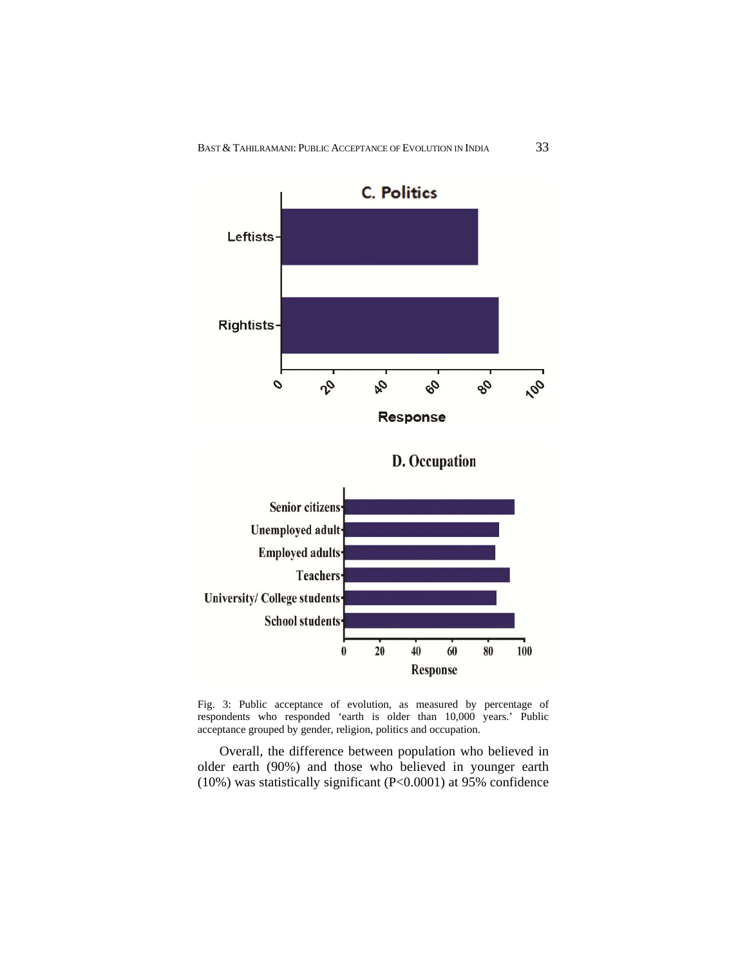

Fig. 3: Public acceptance of evolution, as measured by percentage of respondents who responded 'earth is older than 10,000 years.' Public acceptance grouped by gender, religion, politics and occupation.

Overall, the difference between population who believed in older earth (90%) and those who believed in younger earth (10%) was statistically significant (P<0.0001) at 95% confidence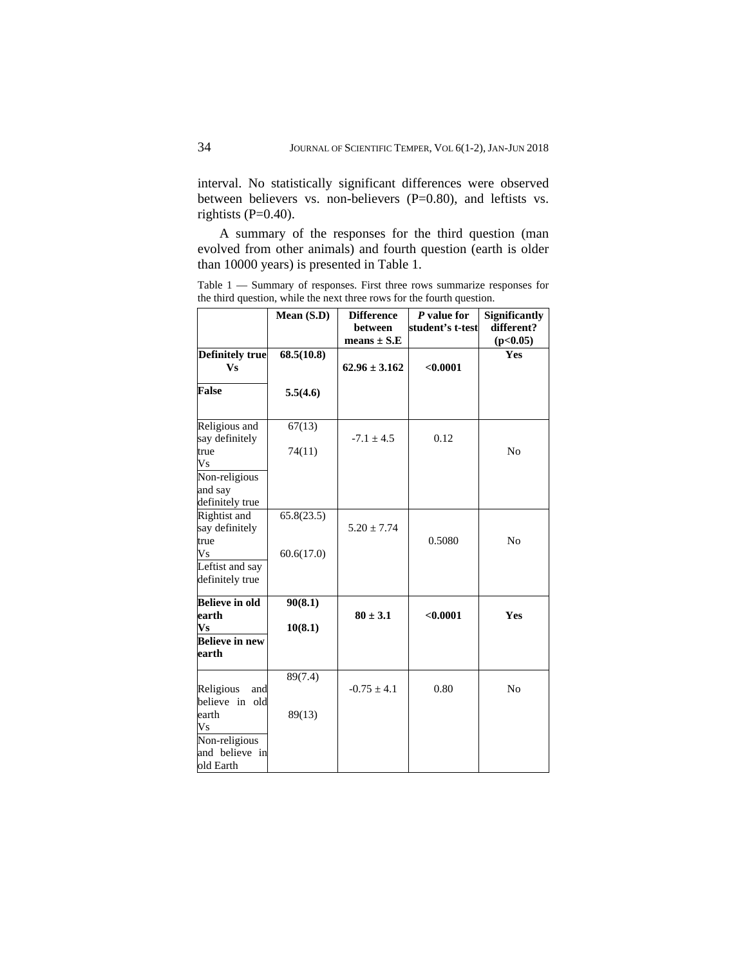interval. No statistically significant differences were observed between believers vs. non-believers (P=0.80), and leftists vs. rightists (P=0.40).

A summary of the responses for the third question (man evolved from other animals) and fourth question (earth is older than 10000 years) is presented in Table 1.

Table 1 — Summary of responses. First three rows summarize responses for the third question, while the next three rows for the fourth question.

|                                                | Mean (S.D) | <b>Difference</b><br><b>between</b><br>means $\pm$ S.E | P value for<br>student's t-test | <b>Significantly</b><br>different?<br>(p<0.05) |
|------------------------------------------------|------------|--------------------------------------------------------|---------------------------------|------------------------------------------------|
| <b>Definitely true</b><br><b>Vs</b>            | 68.5(10.8) | $62.96 \pm 3.162$                                      | < 0.0001                        | Yes                                            |
| <b>False</b>                                   | 5.5(4.6)   |                                                        |                                 |                                                |
| Religious and<br>say definitely                | 67(13)     | $-7.1 \pm 4.5$                                         | 0.12                            |                                                |
| true<br>V <sub>S</sub>                         | 74(11)     |                                                        |                                 | N <sub>0</sub>                                 |
| Non-religious<br>and say<br>definitely true    |            |                                                        |                                 |                                                |
| Rightist and<br>say definitely<br>true         | 65.8(23.5) | $5.20 \pm 7.74$                                        | 0.5080                          | N <sub>0</sub>                                 |
| V <sub>S</sub>                                 | 60.6(17.0) |                                                        |                                 |                                                |
| Leftist and say<br>definitely true             |            |                                                        |                                 |                                                |
| <b>Believe in old</b><br>earth                 | 90(8.1)    | $80 \pm 3.1$                                           | < 0.0001                        | Yes                                            |
| $\mathbf{V}\mathbf{s}$                         | 10(8.1)    |                                                        |                                 |                                                |
| <b>Believe in new</b><br>earth                 |            |                                                        |                                 |                                                |
| Religious<br>and<br>believe in old             | 89(7.4)    | $-0.75 \pm 4.1$                                        | 0.80                            | N <sub>0</sub>                                 |
| earth<br>Vs<br>Non-religious<br>and believe in | 89(13)     |                                                        |                                 |                                                |
| old Earth                                      |            |                                                        |                                 |                                                |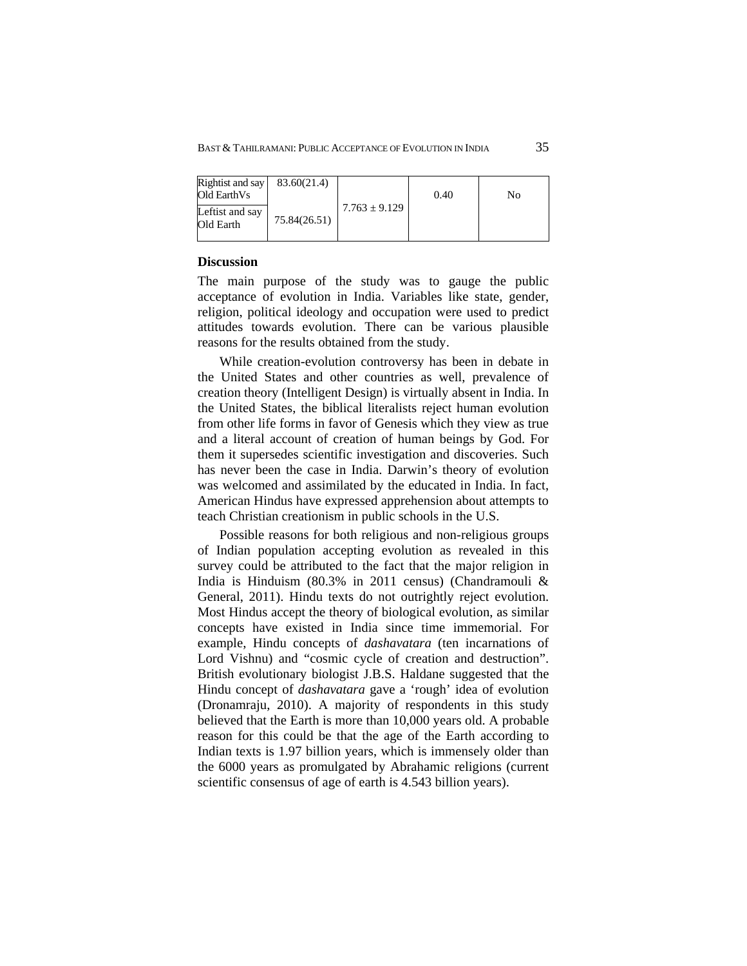| Rightist and say<br>Old EarthVs | 83.60(21.4)  |                   | 0.40 | No |
|---------------------------------|--------------|-------------------|------|----|
| Leftist and say<br>Old Earth    | 75.84(26.51) | $7.763 \pm 9.129$ |      |    |

## **Discussion**

The main purpose of the study was to gauge the public acceptance of evolution in India. Variables like state, gender, religion, political ideology and occupation were used to predict attitudes towards evolution. There can be various plausible reasons for the results obtained from the study.

While creation-evolution controversy has been in debate in the United States and other countries as well, prevalence of creation theory (Intelligent Design) is virtually absent in India. In the United States, the biblical literalists reject human evolution from other life forms in favor of Genesis which they view as true and a literal account of creation of human beings by God. For them it supersedes scientific investigation and discoveries. Such has never been the case in India. Darwin's theory of evolution was welcomed and assimilated by the educated in India. In fact, American Hindus have expressed apprehension about attempts to teach Christian creationism in public schools in the U.S.

Possible reasons for both religious and non-religious groups of Indian population accepting evolution as revealed in this survey could be attributed to the fact that the major religion in India is Hinduism (80.3% in 2011 census) (Chandramouli & General, 2011). Hindu texts do not outrightly reject evolution. Most Hindus accept the theory of biological evolution, as similar concepts have existed in India since time immemorial. For example, Hindu concepts of *dashavatara* (ten incarnations of Lord Vishnu) and "cosmic cycle of creation and destruction". British evolutionary biologist J.B.S. Haldane suggested that the Hindu concept of *dashavatara* gave a 'rough' idea of evolution (Dronamraju, 2010). A majority of respondents in this study believed that the Earth is more than 10,000 years old. A probable reason for this could be that the age of the Earth according to Indian texts is 1.97 billion years, which is immensely older than the 6000 years as promulgated by Abrahamic religions (current scientific consensus of age of earth is 4.543 billion years).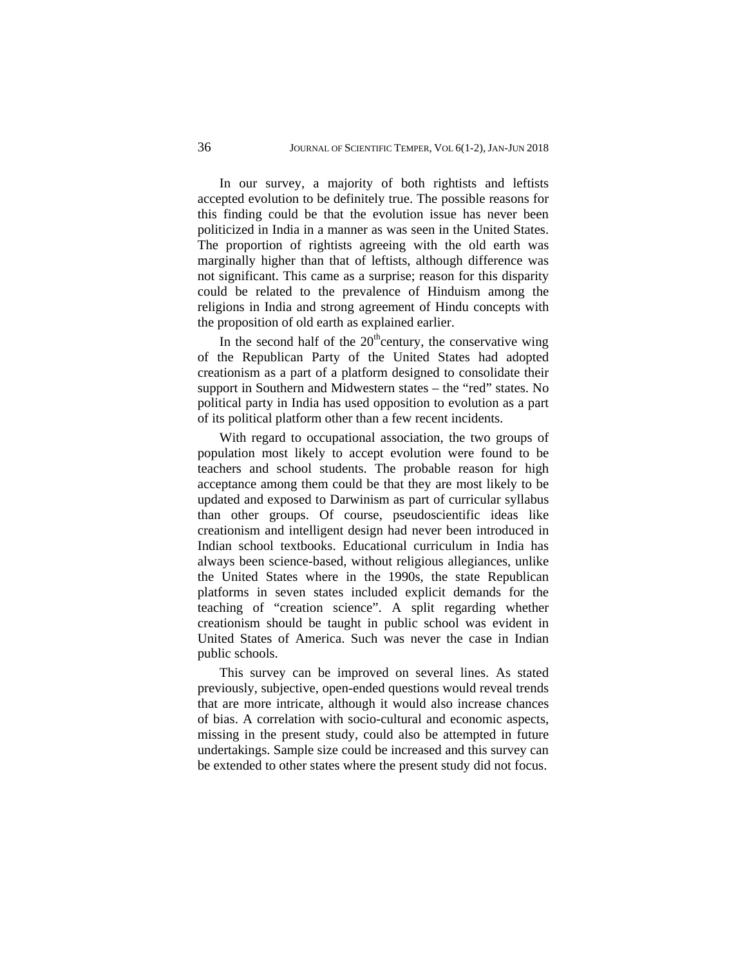In our survey, a majority of both rightists and leftists accepted evolution to be definitely true. The possible reasons for this finding could be that the evolution issue has never been politicized in India in a manner as was seen in the United States. The proportion of rightists agreeing with the old earth was marginally higher than that of leftists, although difference was not significant. This came as a surprise; reason for this disparity could be related to the prevalence of Hinduism among the religions in India and strong agreement of Hindu concepts with the proposition of old earth as explained earlier.

In the second half of the  $20<sup>th</sup>$ century, the conservative wing of the Republican Party of the United States had adopted creationism as a part of a platform designed to consolidate their support in Southern and Midwestern states – the "red" states. No political party in India has used opposition to evolution as a part of its political platform other than a few recent incidents.

With regard to occupational association, the two groups of population most likely to accept evolution were found to be teachers and school students. The probable reason for high acceptance among them could be that they are most likely to be updated and exposed to Darwinism as part of curricular syllabus than other groups. Of course, pseudoscientific ideas like creationism and intelligent design had never been introduced in Indian school textbooks. Educational curriculum in India has always been science-based, without religious allegiances, unlike the United States where in the 1990s, the state Republican platforms in seven states included explicit demands for the teaching of "creation science". A split regarding whether creationism should be taught in public school was evident in United States of America. Such was never the case in Indian public schools.

This survey can be improved on several lines. As stated previously, subjective, open-ended questions would reveal trends that are more intricate, although it would also increase chances of bias. A correlation with socio-cultural and economic aspects, missing in the present study, could also be attempted in future undertakings. Sample size could be increased and this survey can be extended to other states where the present study did not focus.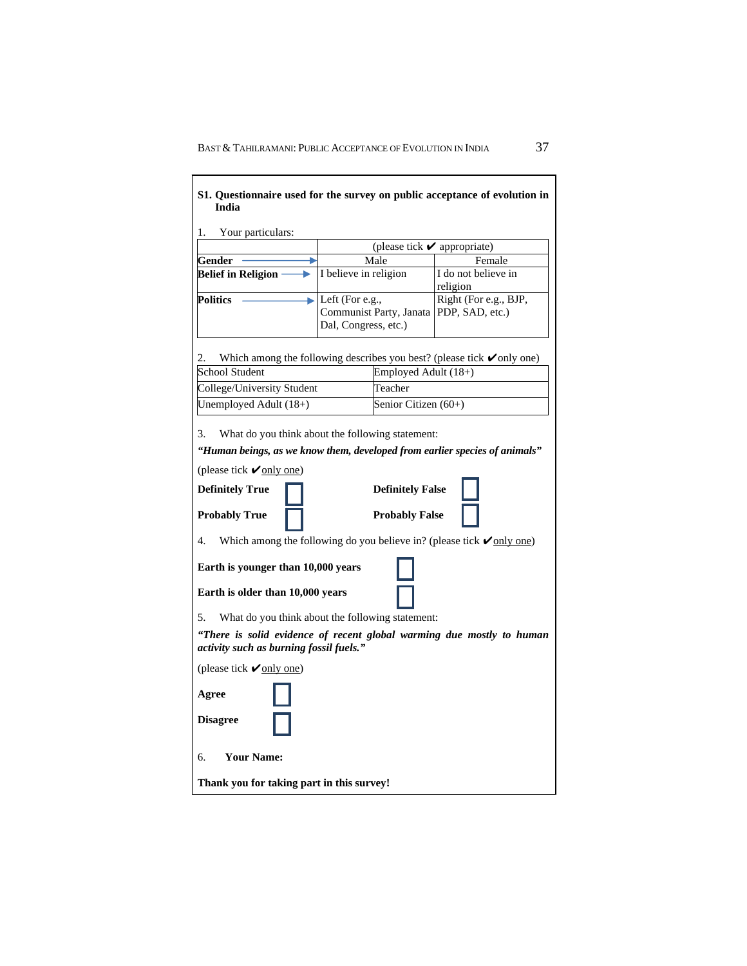r

| 1.<br>Your particulars:                                                |                                                                                                          |                                                                                      |  |  |  |
|------------------------------------------------------------------------|----------------------------------------------------------------------------------------------------------|--------------------------------------------------------------------------------------|--|--|--|
|                                                                        | (please tick $\boldsymbol{\checkmark}$ appropriate)                                                      |                                                                                      |  |  |  |
| Gender                                                                 | Male                                                                                                     | Female                                                                               |  |  |  |
| <b>Belief in Religion</b>                                              | I believe in religion                                                                                    | I do not believe in<br>religion                                                      |  |  |  |
| <b>Politics</b>                                                        | $\blacktriangleright$ Left (For e.g.,<br>Communist Party, Janata PDP, SAD, etc.)<br>Dal, Congress, etc.) | Right (For e.g., BJP,                                                                |  |  |  |
| 2.                                                                     |                                                                                                          | Which among the following describes you best? (please tick $\checkmark$ only one)    |  |  |  |
| School Student                                                         |                                                                                                          | Employed Adult (18+)                                                                 |  |  |  |
| College/University Student                                             | Teacher                                                                                                  |                                                                                      |  |  |  |
| Unemployed Adult (18+)                                                 |                                                                                                          | Senior Citizen (60+)                                                                 |  |  |  |
| <b>Probably True</b><br>4.                                             | <b>Probably False</b>                                                                                    | Which among the following do you believe in? (please tick $\sqrt{\text{only one}}$ ) |  |  |  |
| Earth is younger than 10,000 years<br>Earth is older than 10,000 years |                                                                                                          |                                                                                      |  |  |  |
| 5.                                                                     | What do you think about the following statement:                                                         |                                                                                      |  |  |  |
| activity such as burning fossil fuels."                                |                                                                                                          | "There is solid evidence of recent global warming due mostly to human                |  |  |  |
| (please tick $\vee$ only one)                                          |                                                                                                          |                                                                                      |  |  |  |
| Agree<br><b>Disagree</b>                                               |                                                                                                          |                                                                                      |  |  |  |
|                                                                        |                                                                                                          |                                                                                      |  |  |  |
| б.<br><b>Your Name:</b>                                                |                                                                                                          |                                                                                      |  |  |  |